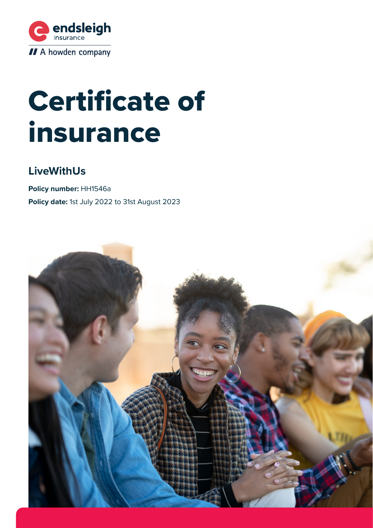

# Certificate of insurance

# **LiveWithUs**

**Policy number:** HH1546a **Policy date:** 1st July 2022 to 31st August 2023

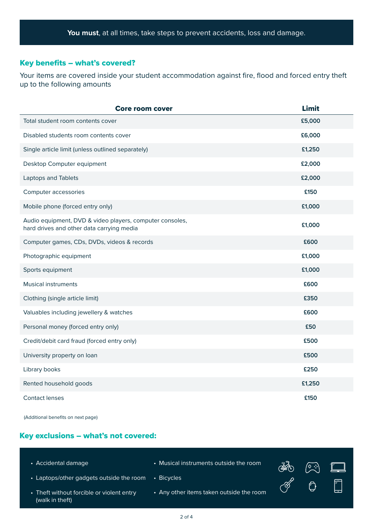#### Key benefits – what's covered?

Your items are covered inside your student accommodation against fire, flood and forced entry theft up to the following amounts

| <b>Core room cover</b>                                                                                | <b>Limit</b> |
|-------------------------------------------------------------------------------------------------------|--------------|
| Total student room contents cover                                                                     | £5,000       |
| Disabled students room contents cover                                                                 | £6,000       |
| Single article limit (unless outlined separately)                                                     | £1,250       |
| Desktop Computer equipment                                                                            | £2,000       |
| Laptops and Tablets                                                                                   | £2,000       |
| Computer accessories                                                                                  | £150         |
| Mobile phone (forced entry only)                                                                      | £1,000       |
| Audio equipment, DVD & video players, computer consoles,<br>hard drives and other data carrying media | £1,000       |
| Computer games, CDs, DVDs, videos & records                                                           | £600         |
| Photographic equipment                                                                                | £1,000       |
| Sports equipment                                                                                      | £1,000       |
| <b>Musical instruments</b>                                                                            | £600         |
| Clothing (single article limit)                                                                       | £350         |
| Valuables including jewellery & watches                                                               | £600         |
| Personal money (forced entry only)                                                                    | £50          |
| Credit/debit card fraud (forced entry only)                                                           | £500         |
| University property on loan                                                                           | £500         |
| Library books                                                                                         | £250         |
| Rented household goods                                                                                | £1,250       |
| <b>Contact lenses</b>                                                                                 | £150         |

(Additional benefits on next page)

# Key exclusions – what's not covered:

| • Accidental damage                                          | • Musical instruments outside the room   | $\mathbb{R}$  | $\sqrt{2 \cdot 3}$ | – Ľ. L               |
|--------------------------------------------------------------|------------------------------------------|---------------|--------------------|----------------------|
| • Laptops/other gadgets outside the room                     | • Bicycles                               | $\mathscr{E}$ |                    | $\sqrt{\frac{1}{2}}$ |
| • Theft without forcible or violent entry<br>(walk in theft) | • Any other items taken outside the room |               | $\bigcirc$         |                      |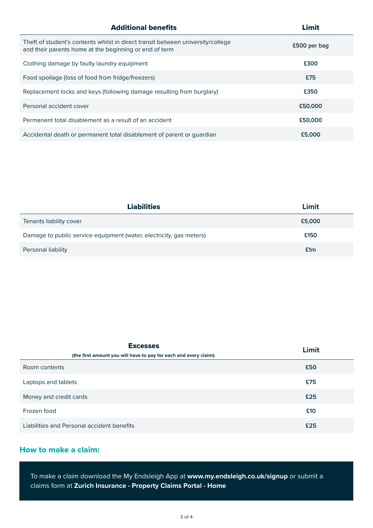| <b>Additional benefits</b>                                                                                                                | Limit        |
|-------------------------------------------------------------------------------------------------------------------------------------------|--------------|
| Theft of student's contents whilst in direct transit between university/college<br>and their parents home at the beginning or end of term | £500 per bag |
| Clothing damage by faulty laundry equipment                                                                                               | £300         |
| Food spoilage (loss of food from fridge/freezers)                                                                                         | £75          |
| Replacement locks and keys (following damage resulting from burglary)                                                                     | £350         |
| Personal accident cover                                                                                                                   | £50,000      |
| Permanent total disablement as a result of an accident                                                                                    | £50,000      |
| Accidental death or permanent total disablement of parent or guardian                                                                     | £5,000       |

| <b>Liabilities</b>                                                  | Limit  |
|---------------------------------------------------------------------|--------|
| Tenants liability cover                                             | £5,000 |
| Damage to public service equipment (water, electricity, gas meters) | £150   |
| Personal liability                                                  | £1m    |

| <b>Excesses</b><br>(the first amount you will have to pay for each and every claim): | Limit |
|--------------------------------------------------------------------------------------|-------|
| Room contents                                                                        | £50   |
| Laptops and tablets                                                                  | £75   |
| Money and credit cards                                                               | £25   |
| Frozen food                                                                          | £10   |
| Liabilities and Personal accident benefits                                           | £25   |

# How to make a claim:

To make a claim download the My Endsleigh App at **[www.my.endsleigh.co.uk/signup](https://my.endsleigh.co.uk/signup/)** or submit a claims form at **[Zurich Insurance - Property Claims Portal - Home](https://propertyclaims.zurich.co.uk/index.html)**